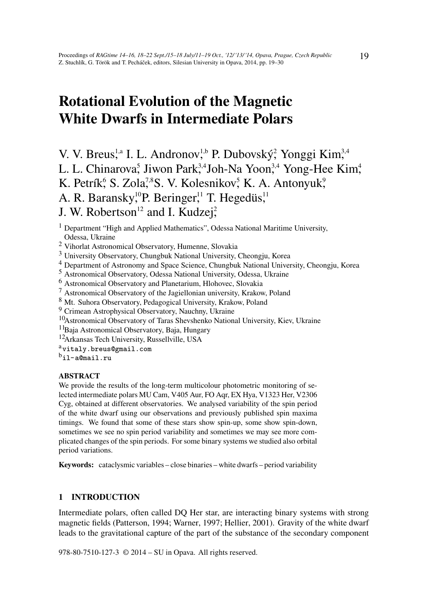# Rotational Evolution of the Magnetic White Dwarfs in Intermediate Polars

V. V. Breus,<sup>1,a</sup> I. L. Andronov,<sup>1,b</sup> P. Dubovský, Yonggi Kim,<sup>3,4</sup> L. L. Chinarova<sup>5</sup>, Jiwon Park<sup>3,4</sup>Joh-Na Yoon<sup>3,4</sup> Yong-Hee Kim<sup>4</sup>, K. Petrík, S. Zola,<sup>7,8</sup>S. V. Kolesnikov, K. A. Antonyuk, A. R. Baransky,<sup>10</sup>P. Beringer,<sup>11</sup> T. Hegedüs,<sup>11</sup> J. W. Robertson<sup>12</sup> and I. Kudzej<sup>2</sup>,

- <sup>2</sup> Vihorlat Astronomical Observatory, Humenne, Slovakia
- <sup>3</sup> University Observatory, Chungbuk National University, Cheongju, Korea
- <sup>4</sup> Department of Astronomy and Space Science, Chungbuk National University, Cheongju, Korea
- <sup>5</sup> Astronomical Observatory, Odessa National University, Odessa, Ukraine
- <sup>6</sup> Astronomical Observatory and Planetarium, Hlohovec, Slovakia
- <sup>7</sup> Astronomical Observatory of the Jagiellonian university, Krakow, Poland
- <sup>8</sup> Mt. Suhora Observatory, Pedagogical University, Krakow, Poland
- <sup>9</sup> Crimean Astrophysical Observatory, Nauchny, Ukraine
- <sup>10</sup>Astronomical Observatory of Taras Shevshenko National University, Kiev, Ukraine
- <sup>11</sup>Baia Astronomical Observatory, Baja, Hungary
- <sup>12</sup>Arkansas Tech University, Russellville, USA
- avitaly.breus@gmail.com
- $^{\rm b}$ il-a@mail.ru

#### ABSTRACT

We provide the results of the long-term multicolour photometric monitoring of selected intermediate polars MU Cam, V405 Aur, FO Aqr, EX Hya, V1323 Her, V2306 Cyg, obtained at different observatories. We analysed variability of the spin period of the white dwarf using our observations and previously published spin maxima timings. We found that some of these stars show spin-up, some show spin-down, sometimes we see no spin period variability and sometimes we may see more complicated changes of the spin periods. For some binary systems we studied also orbital period variations.

Keywords: cataclysmic variables – close binaries – white dwarfs – period variability

## 1 INTRODUCTION

Intermediate polars, often called DQ Her star, are interacting binary systems with strong magnetic fields (Patterson, 1994; Warner, 1997; Hellier, 2001). Gravity of the white dwarf leads to the gravitational capture of the part of the substance of the secondary component

978-80-7510-127-3 © 2014 – SU in Opava. All rights reserved.

<sup>&</sup>lt;sup>1</sup> Department "High and Applied Mathematics", Odessa National Maritime University, Odessa, Ukraine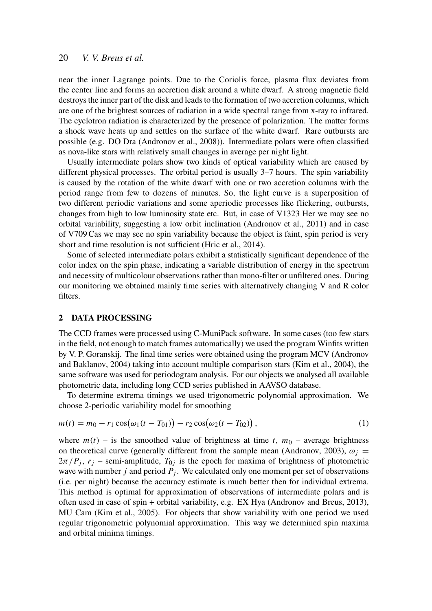#### 20 *V. V. Breus et al.*

near the inner Lagrange points. Due to the Coriolis force, plasma flux deviates from the center line and forms an accretion disk around a white dwarf. A strong magnetic field destroys the inner part of the disk and leads to the formation of two accretion columns, which are one of the brightest sources of radiation in a wide spectral range from x-ray to infrared. The cyclotron radiation is characterized by the presence of polarization. The matter forms a shock wave heats up and settles on the surface of the white dwarf. Rare outbursts are possible (e.g. DO Dra (Andronov et al., 2008)). Intermediate polars were often classified as nova-like stars with relatively small changes in average per night light.

Usually intermediate polars show two kinds of optical variability which are caused by different physical processes. The orbital period is usually 3–7 hours. The spin variability is caused by the rotation of the white dwarf with one or two accretion columns with the period range from few to dozens of minutes. So, the light curve is a superposition of two different periodic variations and some aperiodic processes like flickering, outbursts, changes from high to low luminosity state etc. But, in case of V1323 Her we may see no orbital variability, suggesting a low orbit inclination (Andronov et al., 2011) and in case of V709 Cas we may see no spin variability because the object is faint, spin period is very short and time resolution is not sufficient (Hric et al., 2014).

Some of selected intermediate polars exhibit a statistically significant dependence of the color index on the spin phase, indicating a variable distribution of energy in the spectrum and necessity of multicolour observations rather than mono-filter or unfiltered ones. During our monitoring we obtained mainly time series with alternatively changing V and R color filters.

#### 2 DATA PROCESSING

The CCD frames were processed using C-MuniPack software. In some cases (too few stars in the field, not enough to match frames automatically) we used the program Winfits written by V. P. Goranskij. The final time series were obtained using the program MCV (Andronov and Baklanov, 2004) taking into account multiple comparison stars (Kim et al., 2004), the same software was used for periodogram analysis. For our objects we analysed all available photometric data, including long CCD series published in AAVSO database.

To determine extrema timings we used trigonometric polynomial approximation. We choose 2-periodic variability model for smoothing

$$
m(t) = m_0 - r_1 \cos(\omega_1 (t - T_{01})) - r_2 \cos(\omega_2 (t - T_{02})),
$$
\n(1)

where  $m(t)$  – is the smoothed value of brightness at time *t*,  $m_0$  – average brightness on theoretical curve (generally different from the sample mean (Andronov, 2003),  $\omega_i$  =  $2\pi/P_j$ ,  $r_j$  – semi-amplitude,  $T_{0j}$  is the epoch for maxima of brightness of photometric wave with number *j* and period *P<sup>j</sup>* . We calculated only one moment per set of observations (i.e. per night) because the accuracy estimate is much better then for individual extrema. This method is optimal for approximation of observations of intermediate polars and is often used in case of spin + orbital variability, e.g. EX Hya (Andronov and Breus, 2013), MU Cam (Kim et al., 2005). For objects that show variability with one period we used regular trigonometric polynomial approximation. This way we determined spin maxima and orbital minima timings.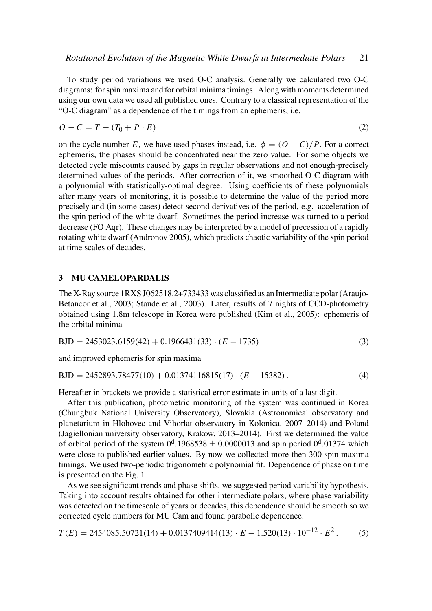To study period variations we used O-C analysis. Generally we calculated two O-C diagrams: for spin maxima and for orbital minima timings. Along with moments determined using our own data we used all published ones. Contrary to a classical representation of the "O-C diagram" as a dependence of the timings from an ephemeris, i.e.

$$
O - C = T - (T_0 + P \cdot E) \tag{2}
$$

on the cycle number *E*, we have used phases instead, i.e.  $\phi = (O - C)/P$ . For a correct ephemeris, the phases should be concentrated near the zero value. For some objects we detected cycle miscounts caused by gaps in regular observations and not enough-precisely determined values of the periods. After correction of it, we smoothed O-C diagram with a polynomial with statistically-optimal degree. Using coefficients of these polynomials after many years of monitoring, it is possible to determine the value of the period more precisely and (in some cases) detect second derivatives of the period, e.g. acceleration of the spin period of the white dwarf. Sometimes the period increase was turned to a period decrease (FO Aqr). These changes may be interpreted by a model of precession of a rapidly rotating white dwarf (Andronov 2005), which predicts chaotic variability of the spin period at time scales of decades.

### 3 MU CAMELOPARDALIS

The X-Ray source 1RXS J062518.2+733433 was classified as an Intermediate polar (Araujo-Betancor et al., 2003; Staude et al., 2003). Later, results of 7 nights of CCD-photometry obtained using 1.8m telescope in Korea were published (Kim et al., 2005): ephemeris of the orbital minima

$$
BJD = 2453023.6159(42) + 0.1966431(33) \cdot (E - 1735)
$$
\n(3)

and improved ephemeris for spin maxima

$$
BJD = 2452893.78477(10) + 0.01374116815(17) \cdot (E - 15382).
$$
 (4)

Hereafter in brackets we provide a statistical error estimate in units of a last digit.

After this publication, photometric monitoring of the system was continued in Korea (Chungbuk National University Observatory), Slovakia (Astronomical observatory and planetarium in Hlohovec and Vihorlat observatory in Kolonica, 2007–2014) and Poland (Jagiellonian university observatory, Krakow, 2013–2014). First we determined the value of orbital period of the system  $0^d.1968538 \pm 0.0000013$  and spin period  $0^d.01374$  which were close to published earlier values. By now we collected more then 300 spin maxima timings. We used two-periodic trigonometric polynomial fit. Dependence of phase on time is presented on the Fig. 1

As we see significant trends and phase shifts, we suggested period variability hypothesis. Taking into account results obtained for other intermediate polars, where phase variability was detected on the timescale of years or decades, this dependence should be smooth so we corrected cycle numbers for MU Cam and found parabolic dependence:

$$
T(E) = 2454085.50721(14) + 0.0137409414(13) \cdot E - 1.520(13) \cdot 10^{-12} \cdot E^2. \tag{5}
$$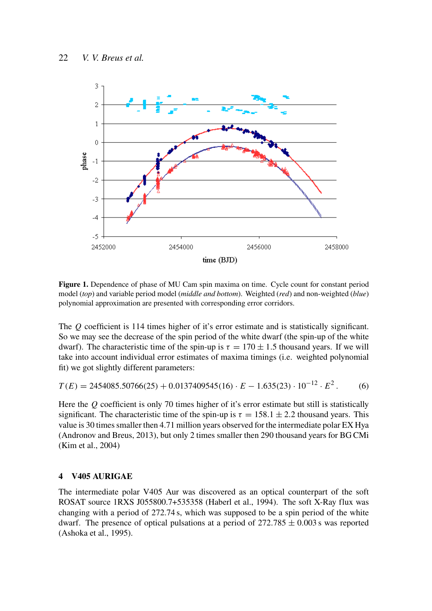

Figure 1. Dependence of phase of MU Cam spin maxima on time. Cycle count for constant period model (*top*) and variable period model (*middle and bottom*). Weighted (*red*) and non-weighted (*blue*) polynomial approximation are presented with corresponding error corridors.

The *Q* coefficient is 114 times higher of it's error estimate and is statistically significant. So we may see the decrease of the spin period of the white dwarf (the spin-up of the white dwarf). The characteristic time of the spin-up is  $\tau = 170 \pm 1.5$  thousand years. If we will take into account individual error estimates of maxima timings (i.e. weighted polynomial fit) we got slightly different parameters:

$$
T(E) = 2454085.50766(25) + 0.0137409545(16) \cdot E - 1.635(23) \cdot 10^{-12} \cdot E^2. \tag{6}
$$

Here the *Q* coefficient is only 70 times higher of it's error estimate but still is statistically significant. The characteristic time of the spin-up is  $\tau = 158.1 \pm 2.2$  thousand years. This value is 30 times smaller then 4.71 million years observed for the intermediate polar EX Hya (Andronov and Breus, 2013), but only 2 times smaller then 290 thousand years for BG CMi (Kim et al., 2004)

#### 4 V405 AURIGAE

The intermediate polar V405 Aur was discovered as an optical counterpart of the soft ROSAT source 1RXS J055800.7+535358 (Haberl et al., 1994). The soft X-Ray flux was changing with a period of 272.74 s, which was supposed to be a spin period of the white dwarf. The presence of optical pulsations at a period of  $272.785 \pm 0.003$  s was reported (Ashoka et al., 1995).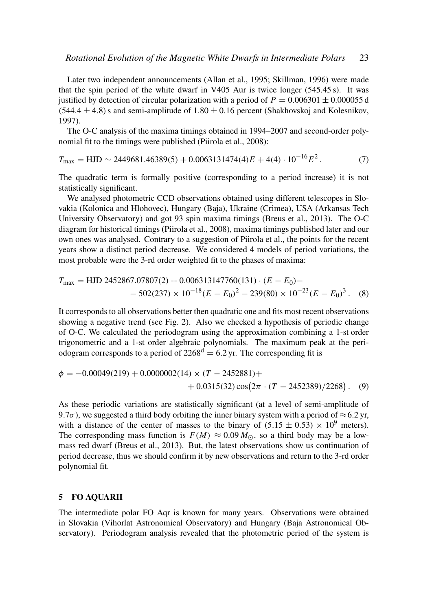Later two independent announcements (Allan et al., 1995; Skillman, 1996) were made that the spin period of the white dwarf in V405 Aur is twice longer (545.45 s). It was justified by detection of circular polarization with a period of  $P = 0.006301 \pm 0.000055$  d  $(544.4 \pm 4.8)$  s and semi-amplitude of  $1.80 \pm 0.16$  percent (Shakhovskoj and Kolesnikov, 1997).

The O-C analysis of the maxima timings obtained in 1994–2007 and second-order polynomial fit to the timings were published (Piirola et al., 2008):

$$
T_{\text{max}} = \text{HJD} \sim 2449681.46389(5) + 0.0063131474(4)E + 4(4) \cdot 10^{-16}E^2. \tag{7}
$$

The quadratic term is formally positive (corresponding to a period increase) it is not statistically significant.

We analysed photometric CCD observations obtained using different telescopes in Slovakia (Kolonica and Hlohovec), Hungary (Baja), Ukraine (Crimea), USA (Arkansas Tech University Observatory) and got 93 spin maxima timings (Breus et al., 2013). The O-C diagram for historical timings (Piirola et al., 2008), maxima timings published later and our own ones was analysed. Contrary to a suggestion of Piirola et al., the points for the recent years show a distinct period decrease. We considered 4 models of period variations, the most probable were the 3-rd order weighted fit to the phases of maxima:

$$
T_{\text{max}} = \text{HJD } 2452867.07807(2) + 0.006313147760(131) \cdot (E - E_0) - 502(237) \times 10^{-18} (E - E_0)^2 - 239(80) \times 10^{-23} (E - E_0)^3. \tag{8}
$$

It corresponds to all observations better then quadratic one and fits most recent observations showing a negative trend (see Fig. 2). Also we checked a hypothesis of periodic change of O-C. We calculated the periodogram using the approximation combining a 1-st order trigonometric and a 1-st order algebraic polynomials. The maximum peak at the periodogram corresponds to a period of  $2268^d = 6.2$  yr. The corresponding fit is

$$
\phi = -0.00049(219) + 0.0000002(14) \times (T - 2452881) ++ 0.0315(32) \cos(2\pi \cdot (T - 2452389)/2268).
$$
 (9)

As these periodic variations are statistically significant (at a level of semi-amplitude of 9.7 $\sigma$ ), we suggested a third body orbiting the inner binary system with a period of  $\approx$  6.2 yr, with a distance of the center of masses to the binary of  $(5.15 \pm 0.53) \times 10^9$  meters). The corresponding mass function is  $F(M) \approx 0.09 M_{\odot}$ , so a third body may be a lowmass red dwarf (Breus et al., 2013). But, the latest observations show us continuation of period decrease, thus we should confirm it by new observations and return to the 3-rd order polynomial fit.

### 5 FO AQUARII

The intermediate polar FO Aqr is known for many years. Observations were obtained in Slovakia (Vihorlat Astronomical Observatory) and Hungary (Baja Astronomical Observatory). Periodogram analysis revealed that the photometric period of the system is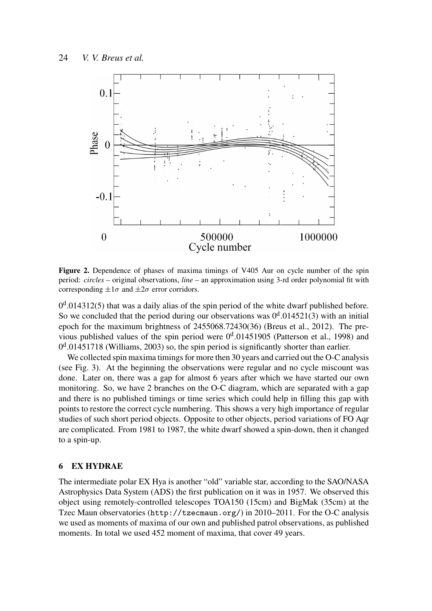

Figure 2. Dependence of phases of maxima timings of V405 Aur on cycle number of the spin period: *circles* – original observations, *line* – an approximation using 3-rd order polynomial fit with corresponding  $\pm 1\sigma$  and  $\pm 2\sigma$  error corridors.

 $0<sup>d</sup>$ .014312(5) that was a daily alias of the spin period of the white dwarf published before. So we concluded that the period during our observations was  $0<sup>d</sup>$ .014521(3) with an initial epoch for the maximum brightness of 2455068.72430(36) (Breus et al., 2012). The previous published values of the spin period were  $0<sup>d</sup>$ .01451905 (Patterson et al., 1998) and  $0<sup>d</sup>$ .01451718 (Williams, 2003) so, the spin period is significantly shorter than earlier.

We collected spin maxima timings for more then 30 years and carried out the O-C analysis (see Fig. 3). At the beginning the observations were regular and no cycle miscount was done. Later on, there was a gap for almost 6 years after which we have started our own monitoring. So, we have 2 branches on the O-C diagram, which are separated with a gap and there is no published timings or time series which could help in filling this gap with points to restore the correct cycle numbering. This shows a very high importance of regular studies of such short period objects. Opposite to other objects, period variations of FO Aqr are complicated. From 1981 to 1987, the white dwarf showed a spin-down, then it changed to a spin-up.

#### 6 EX HYDRAE

The intermediate polar EX Hya is another "old" variable star, according to the SAO/NASA Astrophysics Data System (ADS) the first publication on it was in 1957. We observed this object using remotely-controlled telescopes TOA150 (15cm) and BigMak (35cm) at the Tzec Maun observatories (http://tzecmaun.org/) in 2010–2011. For the O-C analysis we used as moments of maxima of our own and published patrol observations, as published moments. In total we used 452 moment of maxima, that cover 49 years.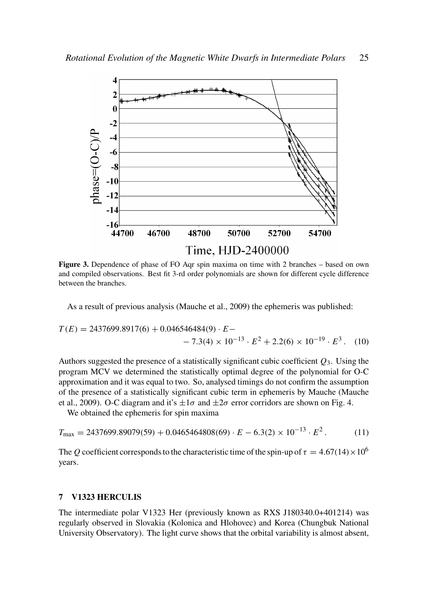

Figure 3. Dependence of phase of FO Aqr spin maxima on time with 2 branches – based on own and compiled observations. Best fit 3-rd order polynomials are shown for different cycle difference between the branches.

As a result of previous analysis (Mauche et al., 2009) the ephemeris was published:

$$
T(E) = 2437699.8917(6) + 0.046546484(9) \cdot E -
$$
  
- 7.3(4) × 10<sup>-13</sup> · E<sup>2</sup> + 2.2(6) × 10<sup>-19</sup> · E<sup>3</sup>. (10)

Authors suggested the presence of a statistically significant cubic coefficient *Q*3. Using the program MCV we determined the statistically optimal degree of the polynomial for O-C approximation and it was equal to two. So, analysed timings do not confirm the assumption of the presence of a statistically significant cubic term in ephemeris by Mauche (Mauche et al., 2009). O-C diagram and it's  $\pm 1\sigma$  and  $\pm 2\sigma$  error corridors are shown on Fig. 4.

We obtained the ephemeris for spin maxima

$$
T_{\text{max}} = 2437699.89079(59) + 0.0465464808(69) \cdot E - 6.3(2) \times 10^{-13} \cdot E^2. \tag{11}
$$

The *Q* coefficient corresponds to the characteristic time of the spin-up of  $\tau = 4.67(14) \times 10^6$ years.

#### 7 V1323 HERCULIS

The intermediate polar V1323 Her (previously known as RXS J180340.0+401214) was regularly observed in Slovakia (Kolonica and Hlohovec) and Korea (Chungbuk National University Observatory). The light curve shows that the orbital variability is almost absent,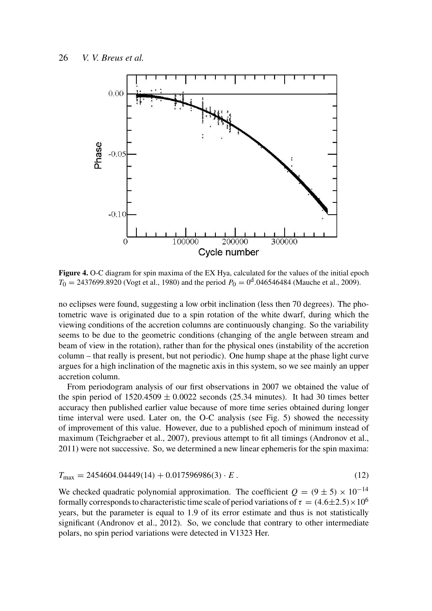

Figure 4. O-C diagram for spin maxima of the EX Hya, calculated for the values of the initial epoch  $T_0 = 2437699.8920$  (Vogt et al., 1980) and the period  $P_0 = 0^d.046546484$  (Mauche et al., 2009).

no eclipses were found, suggesting a low orbit inclination (less then 70 degrees). The photometric wave is originated due to a spin rotation of the white dwarf, during which the viewing conditions of the accretion columns are continuously changing. So the variability seems to be due to the geometric conditions (changing of the angle between stream and beam of view in the rotation), rather than for the physical ones (instability of the accretion column – that really is present, but not periodic). One hump shape at the phase light curve argues for a high inclination of the magnetic axis in this system, so we see mainly an upper accretion column.

From periodogram analysis of our first observations in 2007 we obtained the value of the spin period of  $1520.4509 \pm 0.0022$  seconds (25.34 minutes). It had 30 times better accuracy then published earlier value because of more time series obtained during longer time interval were used. Later on, the O-C analysis (see Fig. 5) showed the necessity of improvement of this value. However, due to a published epoch of minimum instead of maximum (Teichgraeber et al., 2007), previous attempt to fit all timings (Andronov et al., 2011) were not successive. So, we determined a new linear ephemeris for the spin maxima:

$$
T_{\text{max}} = 2454604.04449(14) + 0.017596986(3) \cdot E \,. \tag{12}
$$

We checked quadratic polynomial approximation. The coefficient  $Q = (9 \pm 5) \times 10^{-14}$ formally corresponds to characteristic time scale of period variations of  $\tau = (4.6 \pm 2.5) \times 10^6$ years, but the parameter is equal to 1.9 of its error estimate and thus is not statistically significant (Andronov et al., 2012). So, we conclude that contrary to other intermediate polars, no spin period variations were detected in V1323 Her.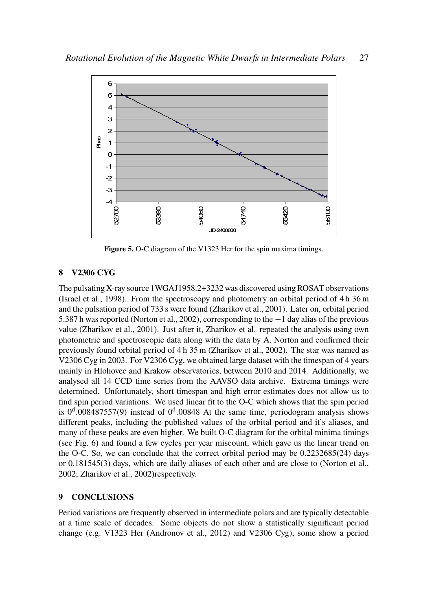

Figure 5. O-C diagram of the V1323 Her for the spin maxima timings.

## 8 V2306 CYG

The pulsating X-ray source 1WGAJ1958.2+3232 was discovered using ROSAT observations (Israel et al., 1998). From the spectroscopy and photometry an orbital period of 4 h 36 m and the pulsation period of 733 s were found (Zharikov et al., 2001). Later on, orbital period 5.387 h was reported (Norton et al., 2002), corresponding to the −1 day alias of the previous value (Zharikov et al., 2001). Just after it, Zharikov et al. repeated the analysis using own photometric and spectroscopic data along with the data by A. Norton and confirmed their previously found orbital period of 4 h 35 m (Zharikov et al., 2002). The star was named as V2306 Cyg in 2003. For V2306 Cyg, we obtained large dataset with the timespan of 4 years mainly in Hlohovec and Krakow observatories, between 2010 and 2014. Additionally, we analysed all 14 CCD time series from the AAVSO data archive. Extrema timings were determined. Unfortunately, short timespan and high error estimates does not allow us to find spin period variations. We used linear fit to the O-C which shows that the spin period is  $0<sup>d</sup>$ .008487557(9) instead of  $0<sup>d</sup>$ .00848 At the same time, periodogram analysis shows different peaks, including the published values of the orbital period and it's aliases, and many of these peaks are even higher. We built O-C diagram for the orbital minima timings (see Fig. 6) and found a few cycles per year miscount, which gave us the linear trend on the O-C. So, we can conclude that the correct orbital period may be 0.2232685(24) days or 0.181545(3) days, which are daily aliases of each other and are close to (Norton et al., 2002; Zharikov et al., 2002)respectively.

## 9 CONCLUSIONS

Period variations are frequently observed in intermediate polars and are typically detectable at a time scale of decades. Some objects do not show a statistically significant period change (e.g. V1323 Her (Andronov et al., 2012) and V2306 Cyg), some show a period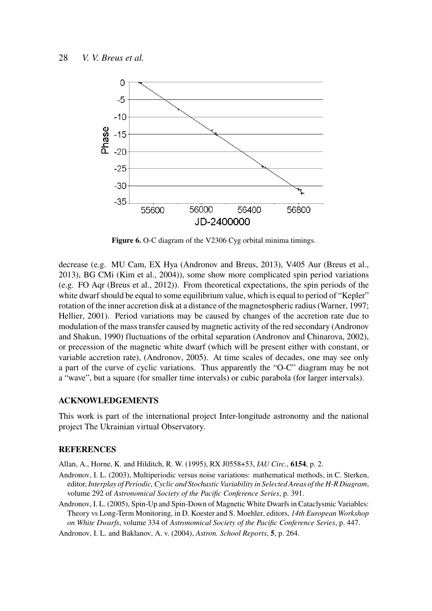

Figure 6. O-C diagram of the V2306 Cyg orbital minima timings.

decrease (e.g. MU Cam, EX Hya (Andronov and Breus, 2013), V405 Aur (Breus et al., 2013), BG CMi (Kim et al., 2004)), some show more complicated spin period variations (e.g. FO Aqr (Breus et al., 2012)). From theoretical expectations, the spin periods of the white dwarf should be equal to some equilibrium value, which is equal to period of "Kepler" rotation of the inner accretion disk at a distance of the magnetospheric radius (Warner, 1997; Hellier, 2001). Period variations may be caused by changes of the accretion rate due to modulation of the mass transfer caused by magnetic activity of the red secondary (Andronov and Shakun, 1990) fluctuations of the orbital separation (Andronov and Chinarova, 2002), or precession of the magnetic white dwarf (which will be present either with constant, or variable accretion rate), (Andronov, 2005). At time scales of decades, one may see only a part of the curve of cyclic variations. Thus apparently the "O-C" diagram may be not a "wave", but a square (for smaller time intervals) or cubic parabola (for larger intervals).

#### ACKNOWLEDGEMENTS

This work is part of the international project Inter-longitude astronomy and the national project The Ukrainian virtual Observatory.

#### REFERENCES

Allan, A., Horne, K. and Hilditch, R. W. (1995), RX J0558+53, *IAU Circ.*, 6154, p. 2.

- Andronov, I. L. (2003), Multiperiodic versus noise variations: mathematical methods, in C. Sterken, editor, *Interplay of Periodic, Cyclic and Stochastic Variability in Selected Areas of the H-R Diagram*, volume 292 of *Astronomical Society of the Pacific Conference Series*, p. 391.
- Andronov, I. L. (2005), Spin-Up and Spin-Down of Magnetic White Dwarfs in Cataclysmic Variables: Theory vs Long-Term Monitoring, in D. Koester and S. Moehler, editors, *14th European Workshop on White Dwarfs*, volume 334 of *Astronomical Society of the Pacific Conference Series*, p. 447.

Andronov, I. L. and Baklanov, A. v. (2004), *Astron. School Reports*, 5, p. 264.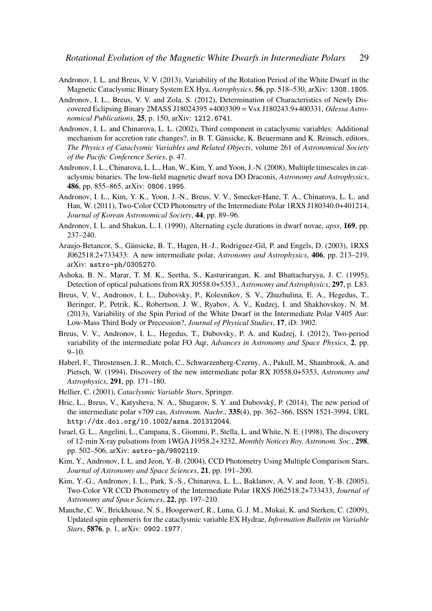- Andronov, I. L. and Breus, V. V. (2013), Variability of the Rotation Period of the White Dwarf in the Magnetic Cataclysmic Binary System EX Hya, *Astrophysics*, 56, pp. 518–530, arXiv: 1308.1805.
- Andronov, I. L., Breus, V. V. and Zola, S. (2012), Determination of Characteristics of Newly Discovered Eclipsing Binary 2MASS J18024395 +4003309 = Vsx J180243.9+400331, *Odessa Astronomical Publications*, 25, p. 150, arXiv: 1212.6741.
- Andronov, I. L. and Chinarova, L. L. (2002), Third component in cataclysmic variables: Additional mechanism for accretion rate changes?, in B. T. Gänsicke, K. Beuermann and K. Reinsch, editors, *The Physics of Cataclysmic Variables and Related Objects*, volume 261 of *Astronomical Society of the Pacific Conference Series*, p. 47.
- Andronov, I. L., Chinarova, L. L., Han, W., Kim, Y. and Yoon, J.-N. (2008), Multiple timescales in cataclysmic binaries. The low-field magnetic dwarf nova DO Draconis, *Astronomy and Astrophysics*, 486, pp. 855–865, arXiv: 0806.1995.
- Andronov, I. L., Kim, Y. K., Yoon, J.-N., Breus, V. V., Smecker-Hane, T. A., Chinarova, L. L. and Han, W. (2011), Two-Color CCD Photometry of the Intermediate Polar 1RXS J180340.0+401214, *Journal of Korean Astronomical Society*, 44, pp. 89–96.
- Andronov, I. L. and Shakun, L. I. (1990), Alternating cycle durations in dwarf novae, *apss*, 169, pp. 237–240.
- Araujo-Betancor, S., Gänsicke, B. T., Hagen, H.-J., Rodriguez-Gil, P. and Engels, D. (2003), 1RXS J062518.2+733433: A new intermediate polar, *Astronomy and Astrophysics*, 406, pp. 213–219, arXiv: astro-ph/0305270.
- Ashoka, B. N., Marar, T. M. K., Seetha, S., Kasturirangan, K. and Bhattacharyya, J. C. (1995), Detection of optical pulsations from RX J0558.0+5353., *Astronomy and Astrophysics*, 297, p. L83.
- Breus, V. V., Andronov, I. L., Dubovsky, P., Kolesnikov, S. V., Zhuzhulina, E. A., Hegedus, T., Beringer, P., Petrik, K., Robertson, J. W., Ryabov, A. V., Kudzej, I. and Shakhovskoy, N. M. (2013), Variability of the Spin Period of the White Dwarf in the Intermediate Polar V405 Aur: Low-Mass Third Body or Precession?, *Journal of Physical Studies*, 17, iD: 3902.
- Breus, V. V., Andronov, I. L., Hegedus, T., Dubovsky, P. A. and Kudzej, I. (2012), Two-period variability of the intermediate polar FO Aqr, *Advances in Astronomy and Space Physics*, 2, pp.  $9 - 10.$
- Haberl, F., Throstensen, J. R., Motch, C., Schwarzenberg-Czerny, A., Pakull, M., Shambrook, A. and Pietsch, W. (1994), Discovery of the new intermediate polar RX J0558.0+5353, *Astronomy and Astrophysics*, 291, pp. 171–180.
- Hellier, C. (2001), *Cataclysmic Variable Stars*, Springer.
- Hric, L., Breus, V., Katysheva, N. A., Shugarov, S. Y. and Dubovský, P. (2014), The new period of the intermediate polar v709 cas, *Astronom. Nachr.*, 335(4), pp. 362–366, ISSN 1521-3994, URL http://dx.doi.org/10.1002/asna.201312044.
- Israel, G. L., Angelini, L., Campana, S., Giommi, P., Stella, L. and White, N. E. (1998), The discovery of 12-min X-ray pulsations from 1WGA J1958.2+3232, *Monthly Notices Roy. Astronom. Soc.*, 298, pp. 502–506, arXiv: astro-ph/9802119.
- Kim, Y., Andronov, I. L. and Jeon, Y.-B. (2004), CCD Photometry Using Multiple Comparison Stars, *Journal of Astronomy and Space Sciences*, 21, pp. 191–200.
- Kim, Y.-G., Andronov, I. L., Park, S.-S., Chinarova, L. L., Baklanov, A. V. and Jeon, Y.-B. (2005), Two-Color VR CCD Photometry of the Intermediate Polar 1RXS J062518.2+733433, *Journal of Astronomy and Space Sciences*, 22, pp. 197–210.
- Mauche, C. W., Brickhouse, N. S., Hoogerwerf, R., Luna, G. J. M., Mukai, K. and Sterken, C. (2009), Updated spin ephemeris for the cataclysmic variable EX Hydrae, *Information Bulletin on Variable Stars*, 5876, p. 1, arXiv: 0902.1977.